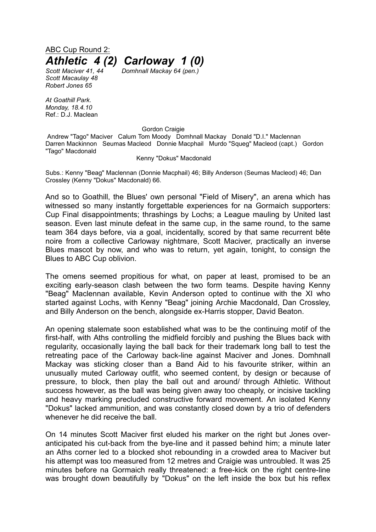ABC Cup Round 2: *Athletic 4 (2) Carloway 1 (0)*

*Scott Maciver 41, 44 Domhnall Mackay 64 (pen.) Scott Macaulay 48 Robert Jones 65*

*At Goathill Park. Monday, 18.4.10* Ref.: D.J. Maclean

Gordon Craigie

Andrew "Tago" Maciver Calum Tom Moody Domhnall Mackay Donald "D.I." Maclennan Darren Mackinnon Seumas Macleod Donnie Macphail Murdo "Squeg" Macleod (capt.) Gordon "Tago" Macdonald

## Kenny "Dokus" Macdonald

Subs.: Kenny "Beag" Maclennan (Donnie Macphail) 46; Billy Anderson (Seumas Macleod) 46; Dan Crossley (Kenny "Dokus" Macdonald) 66.

And so to Goathill, the Blues' own personal "Field of Misery", an arena which has witnessed so many instantly forgettable experiences for na Gormaich supporters: Cup Final disappointments; thrashings by Lochs; a League mauling by United last season. Even last minute defeat in the same cup, in the same round, to the same team 364 days before, via a goal, incidentally, scored by that same recurrent bête noire from a collective Carloway nightmare, Scott Maciver, practically an inverse Blues mascot by now, and who was to return, yet again, tonight, to consign the Blues to ABC Cup oblivion.

The omens seemed propitious for what, on paper at least, promised to be an exciting early-season clash between the two form teams. Despite having Kenny "Beag" Maclennan available, Kevin Anderson opted to continue with the XI who started against Lochs, with Kenny "Beag" joining Archie Macdonald, Dan Crossley, and Billy Anderson on the bench, alongside ex-Harris stopper, David Beaton.

An opening stalemate soon established what was to be the continuing motif of the first-half, with Aths controlling the midfield forcibly and pushing the Blues back with regularity, occasionally laying the ball back for their trademark long ball to test the retreating pace of the Carloway back-line against Maciver and Jones. Domhnall Mackay was sticking closer than a Band Aid to his favourite striker, within an unusually muted Carloway outfit, who seemed content, by design or because of pressure, to block, then play the ball out and around/ through Athletic. Without success however, as the ball was being given away too cheaply, or incisive tackling and heavy marking precluded constructive forward movement. An isolated Kenny "Dokus" lacked ammunition, and was constantly closed down by a trio of defenders whenever he did receive the ball.

On 14 minutes Scott Maciver first eluded his marker on the right but Jones overanticipated his cut-back from the bye-line and it passed behind him; a minute later an Aths corner led to a blocked shot rebounding in a crowded area to Maciver but his attempt was too measured from 12 metres and Craigie was untroubled. It was 25 minutes before na Gormaich really threatened: a free-kick on the right centre-line was brought down beautifully by "Dokus" on the left inside the box but his reflex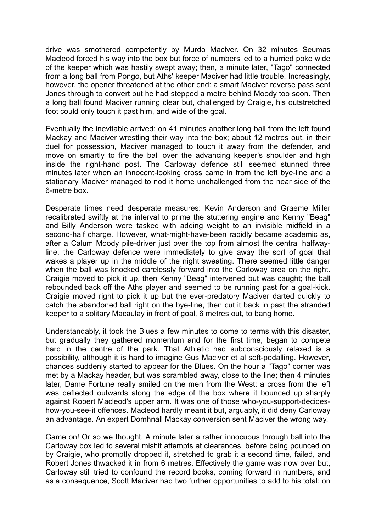drive was smothered competently by Murdo Maciver. On 32 minutes Seumas Macleod forced his way into the box but force of numbers led to a hurried poke wide of the keeper which was hastily swept away; then, a minute later, "Tago" connected from a long ball from Pongo, but Aths' keeper Maciver had little trouble. Increasingly, however, the opener threatened at the other end: a smart Maciver reverse pass sent Jones through to convert but he had stepped a metre behind Moody too soon. Then a long ball found Maciver running clear but, challenged by Craigie, his outstretched foot could only touch it past him, and wide of the goal.

Eventually the inevitable arrived: on 41 minutes another long ball from the left found Mackay and Maciver wrestling their way into the box; about 12 metres out, in their duel for possession, Maciver managed to touch it away from the defender, and move on smartly to fire the ball over the advancing keeper's shoulder and high inside the right-hand post. The Carloway defence still seemed stunned three minutes later when an innocent-looking cross came in from the left bye-line and a stationary Maciver managed to nod it home unchallenged from the near side of the 6-metre box.

Desperate times need desperate measures: Kevin Anderson and Graeme Miller recalibrated swiftly at the interval to prime the stuttering engine and Kenny "Beag" and Billy Anderson were tasked with adding weight to an invisible midfield in a second-half charge. However, what-might-have-been rapidly became academic as, after a Calum Moody pile-driver just over the top from almost the central halfwayline, the Carloway defence were immediately to give away the sort of goal that wakes a player up in the middle of the night sweating. There seemed little danger when the ball was knocked carelessly forward into the Carloway area on the right. Craigie moved to pick it up, then Kenny "Beag" intervened but was caught; the ball rebounded back off the Aths player and seemed to be running past for a goal-kick. Craigie moved right to pick it up but the ever-predatory Maciver darted quickly to catch the abandoned ball right on the bye-line, then cut it back in past the stranded keeper to a solitary Macaulay in front of goal, 6 metres out, to bang home.

Understandably, it took the Blues a few minutes to come to terms with this disaster, but gradually they gathered momentum and for the first time, began to compete hard in the centre of the park. That Athletic had subconsciously relaxed is a possibility, although it is hard to imagine Gus Maciver et al soft-pedalling. However, chances suddenly started to appear for the Blues. On the hour a "Tago" corner was met by a Mackay header, but was scrambled away, close to the line; then 4 minutes later, Dame Fortune really smiled on the men from the West: a cross from the left was deflected outwards along the edge of the box where it bounced up sharply against Robert Macleod's upper arm. It was one of those who-you-support-decideshow-you-see-it offences. Macleod hardly meant it but, arguably, it did deny Carloway an advantage. An expert Domhnall Mackay conversion sent Maciver the wrong way.

Game on! Or so we thought. A minute later a rather innocuous through ball into the Carloway box led to several mishit attempts at clearances, before being pounced on by Craigie, who promptly dropped it, stretched to grab it a second time, failed, and Robert Jones thwacked it in from 6 metres. Effectively the game was now over but, Carloway still tried to confound the record books, coming forward in numbers, and as a consequence, Scott Maciver had two further opportunities to add to his total: on